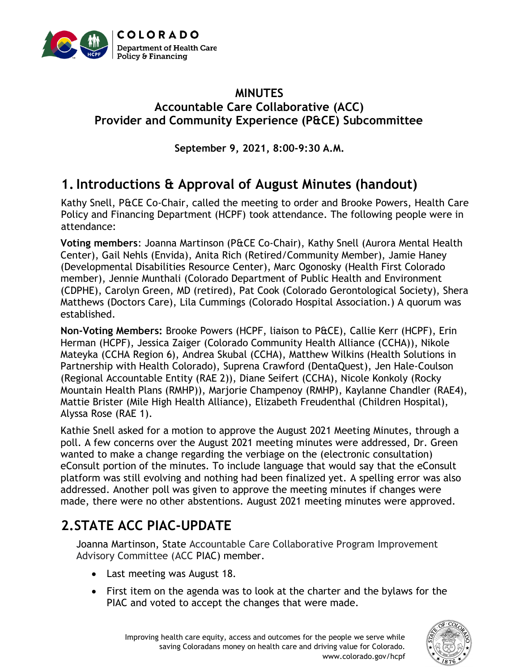

#### **MINUTES Accountable Care Collaborative (ACC) Provider and Community Experience (P&CE) Subcommittee**

**September 9, 2021, 8:00-9:30 A.M.**

# **1.Introductions & Approval of August Minutes (handout)**

Kathy Snell, P&CE Co-Chair, called the meeting to order and Brooke Powers, Health Care Policy and Financing Department (HCPF) took attendance. The following people were in attendance:

**Voting members**: Joanna Martinson (P&CE Co-Chair), Kathy Snell (Aurora Mental Health Center), Gail Nehls (Envida), Anita Rich (Retired/Community Member), Jamie Haney (Developmental Disabilities Resource Center), Marc Ogonosky (Health First Colorado member), Jennie Munthali (Colorado Department of Public Health and Environment (CDPHE), Carolyn Green, MD (retired), Pat Cook (Colorado Gerontological Society), Shera Matthews (Doctors Care), Lila Cummings (Colorado Hospital Association.) A quorum was established.

**Non-Voting Members:** Brooke Powers (HCPF, liaison to P&CE), Callie Kerr (HCPF), Erin Herman (HCPF), Jessica Zaiger (Colorado Community Health Alliance (CCHA)), Nikole Mateyka (CCHA Region 6), Andrea Skubal (CCHA), Matthew Wilkins (Health Solutions in Partnership with Health Colorado), Suprena Crawford (DentaQuest), Jen Hale-Coulson (Regional Accountable Entity (RAE 2)), Diane Seifert (CCHA), Nicole Konkoly (Rocky Mountain Health Plans (RMHP)), Marjorie Champenoy (RMHP), Kaylanne Chandler (RAE4), Mattie Brister (Mile High Health Alliance), Elizabeth Freudenthal (Children Hospital), Alyssa Rose (RAE 1).

Kathie Snell asked for a motion to approve the August 2021 Meeting Minutes, through a poll. A few concerns over the August 2021 meeting minutes were addressed, Dr. Green wanted to make a change regarding the verbiage on the (electronic consultation) eConsult portion of the minutes. To include language that would say that the eConsult platform was still evolving and nothing had been finalized yet. A spelling error was also addressed. Another poll was given to approve the meeting minutes if changes were made, there were no other abstentions. August 2021 meeting minutes were approved.

# **2.STATE ACC PIAC-UPDATE**

Joanna Martinson, State Accountable Care Collaborative Program Improvement Advisory Committee (ACC PIAC) member.

- Last meeting was August 18.
- First item on the agenda was to look at the charter and the bylaws for the PIAC and voted to accept the changes that were made.

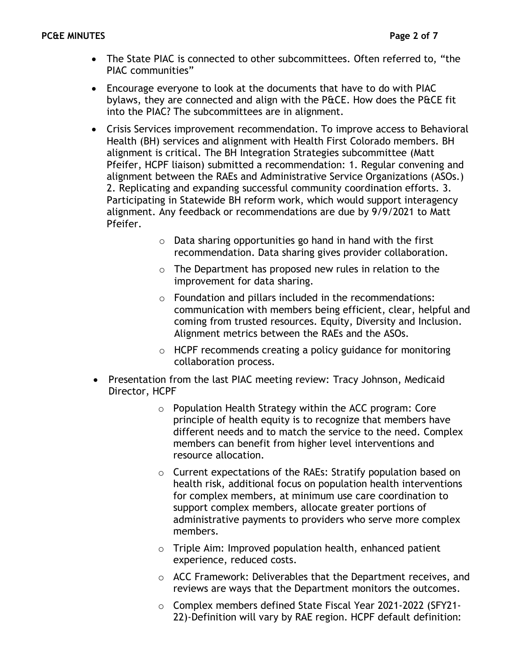- The State PIAC is connected to other subcommittees. Often referred to, "the PIAC communities"
- Encourage everyone to look at the documents that have to do with PIAC bylaws, they are connected and align with the P&CE. How does the P&CE fit into the PIAC? The subcommittees are in alignment.
- Crisis Services improvement recommendation. To improve access to Behavioral Health (BH) services and alignment with Health First Colorado members. BH alignment is critical. The BH Integration Strategies subcommittee (Matt Pfeifer, HCPF liaison) submitted a recommendation: 1. Regular convening and alignment between the RAEs and Administrative Service Organizations (ASOs.) 2. Replicating and expanding successful community coordination efforts. 3. Participating in Statewide BH reform work, which would support interagency alignment. Any feedback or recommendations are due by 9/9/2021 to Matt Pfeifer.
	- o Data sharing opportunities go hand in hand with the first recommendation. Data sharing gives provider collaboration.
	- o The Department has proposed new rules in relation to the improvement for data sharing.
	- o Foundation and pillars included in the recommendations: communication with members being efficient, clear, helpful and coming from trusted resources. Equity, Diversity and Inclusion. Alignment metrics between the RAEs and the ASOs.
	- $\circ$  HCPF recommends creating a policy guidance for monitoring collaboration process.
- Presentation from the last PIAC meeting review: Tracy Johnson, Medicaid Director, HCPF
	- o Population Health Strategy within the ACC program: Core principle of health equity is to recognize that members have different needs and to match the service to the need. Complex members can benefit from higher level interventions and resource allocation.
	- o Current expectations of the RAEs: Stratify population based on health risk, additional focus on population health interventions for complex members, at minimum use care coordination to support complex members, allocate greater portions of administrative payments to providers who serve more complex members.
	- o Triple Aim: Improved population health, enhanced patient experience, reduced costs.
	- o ACC Framework: Deliverables that the Department receives, and reviews are ways that the Department monitors the outcomes.
	- o Complex members defined State Fiscal Year 2021-2022 (SFY21- 22)-Definition will vary by RAE region. HCPF default definition: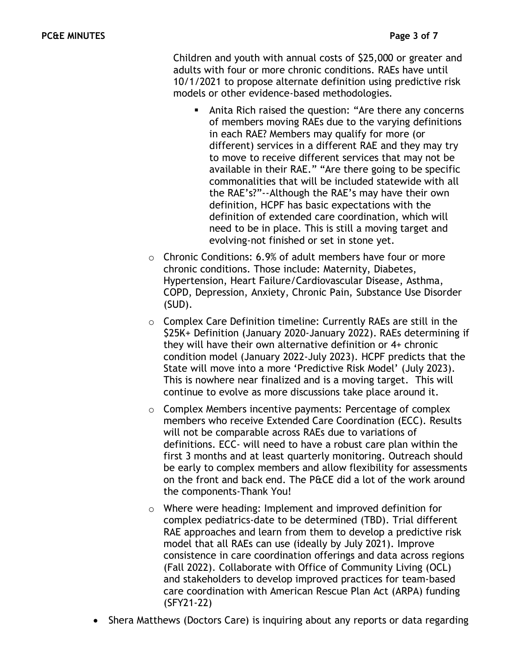Children and youth with annual costs of \$25,000 or greater and adults with four or more chronic conditions. RAEs have until 10/1/2021 to propose alternate definition using predictive risk models or other evidence-based methodologies.

- Anita Rich raised the question: "Are there any concerns of members moving RAEs due to the varying definitions in each RAE? Members may qualify for more (or different) services in a different RAE and they may try to move to receive different services that may not be available in their RAE." "Are there going to be specific commonalities that will be included statewide with all the RAE's?"--Although the RAE's may have their own definition, HCPF has basic expectations with the definition of extended care coordination, which will need to be in place. This is still a moving target and evolving-not finished or set in stone yet.
- o Chronic Conditions: 6.9% of adult members have four or more chronic conditions. Those include: Maternity, Diabetes, Hypertension, Heart Failure/Cardiovascular Disease, Asthma, COPD, Depression, Anxiety, Chronic Pain, Substance Use Disorder (SUD).
- o Complex Care Definition timeline: Currently RAEs are still in the \$25K+ Definition (January 2020-January 2022). RAEs determining if they will have their own alternative definition or 4+ chronic condition model (January 2022-July 2023). HCPF predicts that the State will move into a more 'Predictive Risk Model' (July 2023). This is nowhere near finalized and is a moving target. This will continue to evolve as more discussions take place around it.
- $\circ$  Complex Members incentive payments: Percentage of complex members who receive Extended Care Coordination (ECC). Results will not be comparable across RAEs due to variations of definitions. ECC- will need to have a robust care plan within the first 3 months and at least quarterly monitoring. Outreach should be early to complex members and allow flexibility for assessments on the front and back end. The P&CE did a lot of the work around the components-Thank You!
- o Where were heading: Implement and improved definition for complex pediatrics-date to be determined (TBD). Trial different RAE approaches and learn from them to develop a predictive risk model that all RAEs can use (ideally by July 2021). Improve consistence in care coordination offerings and data across regions (Fall 2022). Collaborate with Office of Community Living (OCL) and stakeholders to develop improved practices for team-based care coordination with American Rescue Plan Act (ARPA) funding (SFY21-22)
- Shera Matthews (Doctors Care) is inquiring about any reports or data regarding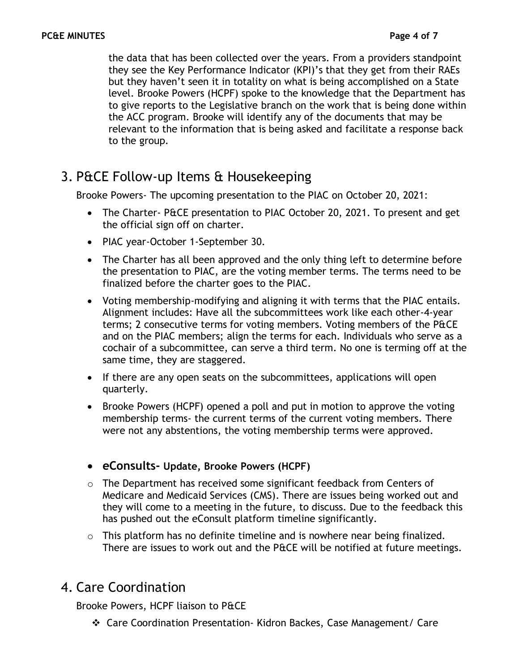the data that has been collected over the years. From a providers standpoint they see the Key Performance Indicator (KPI)'s that they get from their RAEs but they haven't seen it in totality on what is being accomplished on a State level. Brooke Powers (HCPF) spoke to the knowledge that the Department has to give reports to the Legislative branch on the work that is being done within the ACC program. Brooke will identify any of the documents that may be relevant to the information that is being asked and facilitate a response back to the group.

## 3. P&CE Follow-up Items & Housekeeping

Brooke Powers- The upcoming presentation to the PIAC on October 20, 2021:

- The Charter- P&CE presentation to PIAC October 20, 2021. To present and get the official sign off on charter.
- PIAC year-October 1-September 30.
- The Charter has all been approved and the only thing left to determine before the presentation to PIAC, are the voting member terms. The terms need to be finalized before the charter goes to the PIAC.
- Voting membership-modifying and aligning it with terms that the PIAC entails. Alignment includes: Have all the subcommittees work like each other-4-year terms; 2 consecutive terms for voting members. Voting members of the P&CE and on the PIAC members; align the terms for each. Individuals who serve as a cochair of a subcommittee, can serve a third term. No one is terming off at the same time, they are staggered.
- If there are any open seats on the subcommittees, applications will open quarterly.
- Brooke Powers (HCPF) opened a poll and put in motion to approve the voting membership terms- the current terms of the current voting members. There were not any abstentions, the voting membership terms were approved.
- **eConsults- Update, Brooke Powers (HCPF)**
- o The Department has received some significant feedback from Centers of Medicare and Medicaid Services (CMS). There are issues being worked out and they will come to a meeting in the future, to discuss. Due to the feedback this has pushed out the eConsult platform timeline significantly.
- o This platform has no definite timeline and is nowhere near being finalized. There are issues to work out and the P&CE will be notified at future meetings.

## 4. Care Coordination

Brooke Powers, HCPF liaison to P&CE

❖ Care Coordination Presentation- Kidron Backes, Case Management/ Care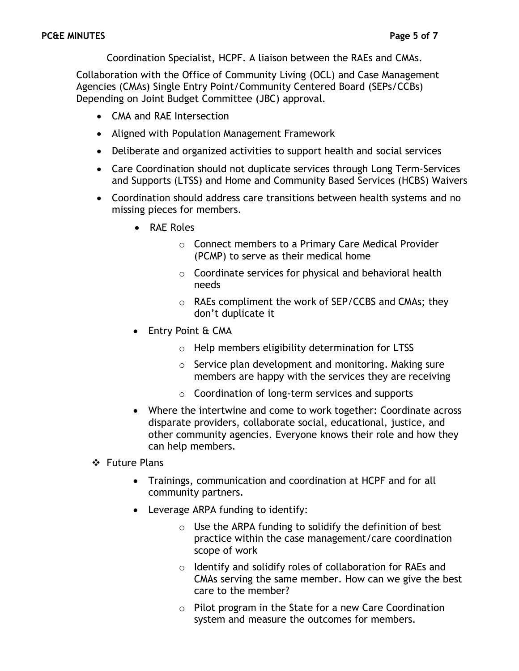Coordination Specialist, HCPF. A liaison between the RAEs and CMAs.

Collaboration with the Office of Community Living (OCL) and Case Management Agencies (CMAs) Single Entry Point/Community Centered Board (SEPs/CCBs) Depending on Joint Budget Committee (JBC) approval.

- CMA and RAE Intersection
- Aligned with Population Management Framework
- Deliberate and organized activities to support health and social services
- Care Coordination should not duplicate services through Long Term-Services and Supports (LTSS) and Home and Community Based Services (HCBS) Waivers
- Coordination should address care transitions between health systems and no missing pieces for members.
	- RAE Roles
		- o Connect members to a Primary Care Medical Provider (PCMP) to serve as their medical home
		- o Coordinate services for physical and behavioral health needs
		- o RAEs compliment the work of SEP/CCBS and CMAs; they don't duplicate it
	- Entry Point & CMA
		- o Help members eligibility determination for LTSS
		- o Service plan development and monitoring. Making sure members are happy with the services they are receiving
		- o Coordination of long-term services and supports
	- Where the intertwine and come to work together: Coordinate across disparate providers, collaborate social, educational, justice, and other community agencies. Everyone knows their role and how they can help members.
- ❖ Future Plans
	- Trainings, communication and coordination at HCPF and for all community partners.
	- Leverage ARPA funding to identify:
		- $\circ$  Use the ARPA funding to solidify the definition of best practice within the case management/care coordination scope of work
		- o Identify and solidify roles of collaboration for RAEs and CMAs serving the same member. How can we give the best care to the member?
		- o Pilot program in the State for a new Care Coordination system and measure the outcomes for members.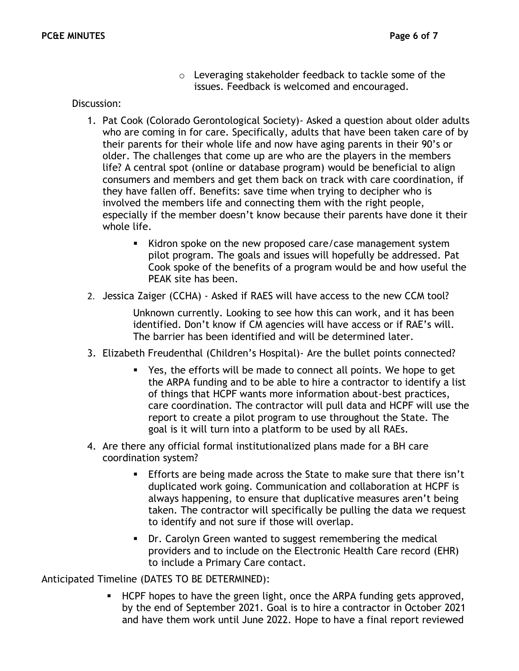o Leveraging stakeholder feedback to tackle some of the issues. Feedback is welcomed and encouraged.

#### Discussion:

- 1. Pat Cook (Colorado Gerontological Society)- Asked a question about older adults who are coming in for care. Specifically, adults that have been taken care of by their parents for their whole life and now have aging parents in their 90's or older. The challenges that come up are who are the players in the members life? A central spot (online or database program) would be beneficial to align consumers and members and get them back on track with care coordination, if they have fallen off. Benefits: save time when trying to decipher who is involved the members life and connecting them with the right people, especially if the member doesn't know because their parents have done it their whole life.
	- Kidron spoke on the new proposed care/case management system pilot program. The goals and issues will hopefully be addressed. Pat Cook spoke of the benefits of a program would be and how useful the PEAK site has been.
- 2. Jessica Zaiger (CCHA) Asked if RAES will have access to the new CCM tool?

Unknown currently. Looking to see how this can work, and it has been identified. Don't know if CM agencies will have access or if RAE's will. The barrier has been identified and will be determined later.

- 3. Elizabeth Freudenthal (Children's Hospital)- Are the bullet points connected?
	- Yes, the efforts will be made to connect all points. We hope to get the ARPA funding and to be able to hire a contractor to identify a list of things that HCPF wants more information about-best practices, care coordination. The contractor will pull data and HCPF will use the report to create a pilot program to use throughout the State. The goal is it will turn into a platform to be used by all RAEs.
- 4. Are there any official formal institutionalized plans made for a BH care coordination system?
	- **Efforts are being made across the State to make sure that there isn't** duplicated work going. Communication and collaboration at HCPF is always happening, to ensure that duplicative measures aren't being taken. The contractor will specifically be pulling the data we request to identify and not sure if those will overlap.
	- Dr. Carolyn Green wanted to suggest remembering the medical providers and to include on the Electronic Health Care record (EHR) to include a Primary Care contact.

Anticipated Timeline (DATES TO BE DETERMINED):

HCPF hopes to have the green light, once the ARPA funding gets approved, by the end of September 2021. Goal is to hire a contractor in October 2021 and have them work until June 2022. Hope to have a final report reviewed